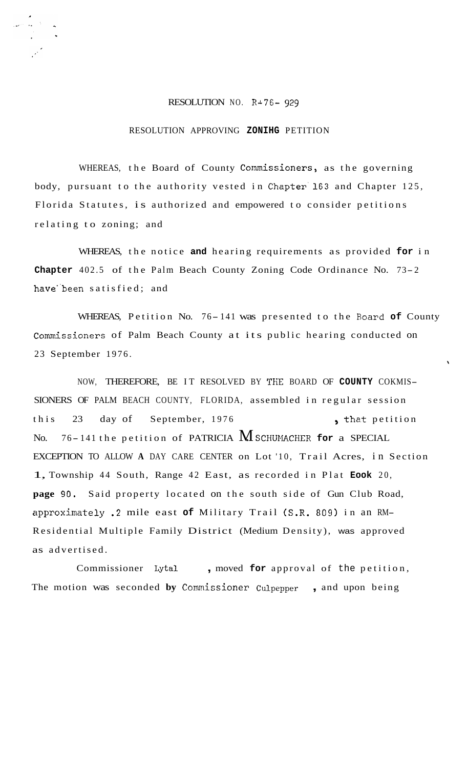## RESOLUTION NO. **RA76-** *929*

## RESOLUTION APPROVING **ZONIHG** PETITION

WHEREAS, the Board of County Commissioners, as the governing body, pursuant to the authority vested in Chapter'163 and Chapter 125, Florida Statutes, is authorized and empowered to consider petitions relating to zoning; and

WHEREAS, the notice **and** hearing requirements as provided **for** in **Chapter** 402.5 of the Palm Beach County Zoning Code Ordinance No. 73- <sup>2</sup> have"been satisfied; and

WHEREAS, Petition No. 76- 141 was presented to the Board **of** County Commissioners of Palm Beach County at its public hearing conducted on 23 September 1976. \

NOW, THEREFORE, BE IT RESOLVED BY THE BOARD OF COUNTY COKMIS-SIONERS OF PALM BEACH COUNTY, FLORIDA, assembled in regular session this 23 day of September, 1976 , that petition No.  $76 - 141$  the petition of PATRICIA **M** SCHUMACHER for a SPECIAL EXCEPTION TO ALLOW **A** DAY CARE CENTER on Lot '10, Trail Acres, in Section 1, Township 44 South, Range 42 East, as recorded in Plat **Eook** 20, **page 90.** Said property located on the south side of Gun Club Road, approximately .2 mile east **of** Military Trail (S.R. 809) in an RM-Residential Multiple Family District (Medium Density), was approved as advertised.

Commissioner Lytal , moved **for** approval of the petition, The motion was seconded **by** Comnissioner Culpepper , and upon being